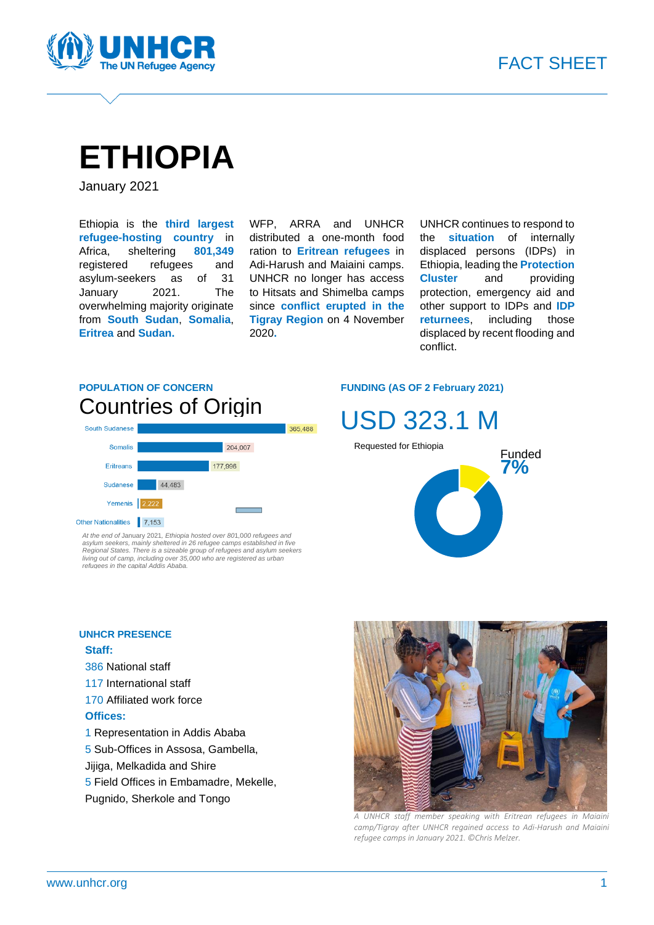

# **ETHIOPIA**

January 2021

Ethiopia is the **third largest refugee-hosting country** in Africa, sheltering **801,349** registered refugees and asylum-seekers as of 31 January 2021. The overwhelming majority originate from **South Sudan**, **Somalia**, **Eritrea** and **Sudan.**

WFP, ARRA and UNHCR distributed a one-month food ration to **Eritrean refugees** in Adi-Harush and Maiaini camps. UNHCR no longer has access to Hitsats and Shimelba camps since **conflict erupted in the Tigray Region** on 4 November 2020**.**

UNHCR continues to respond to the **situation** of internally displaced persons (IDPs) in Ethiopia, leading the **Protection Cluster** and providing protection, emergency aid and other support to IDPs and **IDP returnees**, including those displaced by recent flooding and conflict.

### **POPULATION OF CONCERN** Countries of Origin



At the end of January 2021, Ethiopia hosted over 801,000 refugees and<br>asylum seekers, mainly sheltered in 26 refugee camps established in five<br>Regional States. There is a sizeable group of refugees and asylum seekers<br>Iivin *refugees in the capital Addis Ababa.*

### **UNHCR PRESENCE**

### **Staff:**

- 386 National staff
- 117 International staff
- 170 Affiliated work force

#### **Offices:**

- 1 Representation in Addis Ababa
- 5 Sub-Offices in Assosa, Gambella,
- Jijiga, Melkadida and Shire
- 5 Field Offices in Embamadre, Mekelle,
- Pugnido, Sherkole and Tongo

#### **FUNDING (AS OF 2 February 2021)**





*A UNHCR staff member speaking with Eritrean refugees in Maiaini camp/Tigray after UNHCR regained access to Adi-Harush and Maiaini refugee camps in January 2021. ©Chris Melzer.*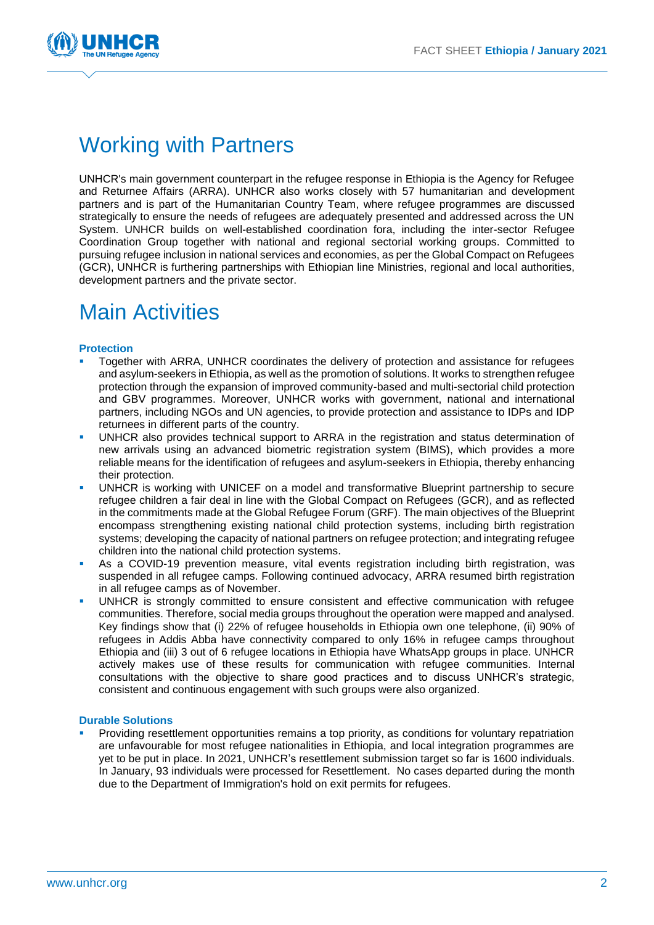

# Working with Partners

UNHCR's main government counterpart in the refugee response in Ethiopia is the Agency for Refugee and Returnee Affairs (ARRA). UNHCR also works closely with 57 humanitarian and development partners and is part of the Humanitarian Country Team, where refugee programmes are discussed strategically to ensure the needs of refugees are adequately presented and addressed across the UN System. UNHCR builds on well-established coordination fora, including the inter-sector Refugee Coordination Group together with national and regional sectorial working groups. Committed to pursuing refugee inclusion in national services and economies, as per the Global Compact on Refugees (GCR), UNHCR is furthering partnerships with Ethiopian line Ministries, regional and local authorities, development partners and the private sector.

## Main Activities

#### **Protection**

- Together with ARRA, UNHCR coordinates the delivery of protection and assistance for refugees and asylum-seekers in Ethiopia, as well as the promotion of solutions. It works to strengthen refugee protection through the expansion of improved community-based and multi-sectorial child protection and GBV programmes. Moreover, UNHCR works with government, national and international partners, including NGOs and UN agencies, to provide protection and assistance to IDPs and IDP returnees in different parts of the country.
- UNHCR also provides technical support to ARRA in the registration and status determination of new arrivals using an advanced biometric registration system (BIMS), which provides a more reliable means for the identification of refugees and asylum-seekers in Ethiopia, thereby enhancing their protection.
- UNHCR is working with UNICEF on a model and transformative Blueprint partnership to secure refugee children a fair deal in line with the Global Compact on Refugees (GCR), and as reflected in the commitments made at the Global Refugee Forum (GRF). The main objectives of the Blueprint encompass strengthening existing national child protection systems, including birth registration systems; developing the capacity of national partners on refugee protection; and integrating refugee children into the national child protection systems.
- As a COVID-19 prevention measure, vital events registration including birth registration, was suspended in all refugee camps. Following continued advocacy, ARRA resumed birth registration in all refugee camps as of November.
- UNHCR is strongly committed to ensure consistent and effective communication with refugee communities. Therefore, social media groups throughout the operation were mapped and analysed. Key findings show that (i) 22% of refugee households in Ethiopia own one telephone, (ii) 90% of refugees in Addis Abba have connectivity compared to only 16% in refugee camps throughout Ethiopia and (iii) 3 out of 6 refugee locations in Ethiopia have WhatsApp groups in place. UNHCR actively makes use of these results for communication with refugee communities. Internal consultations with the objective to share good practices and to discuss UNHCR's strategic, consistent and continuous engagement with such groups were also organized.

#### **Durable Solutions**

Providing resettlement opportunities remains a top priority, as conditions for voluntary repatriation are unfavourable for most refugee nationalities in Ethiopia, and local integration programmes are yet to be put in place. In 2021, UNHCR's resettlement submission target so far is 1600 individuals. In January, 93 individuals were processed for Resettlement. No cases departed during the month due to the Department of Immigration's hold on exit permits for refugees.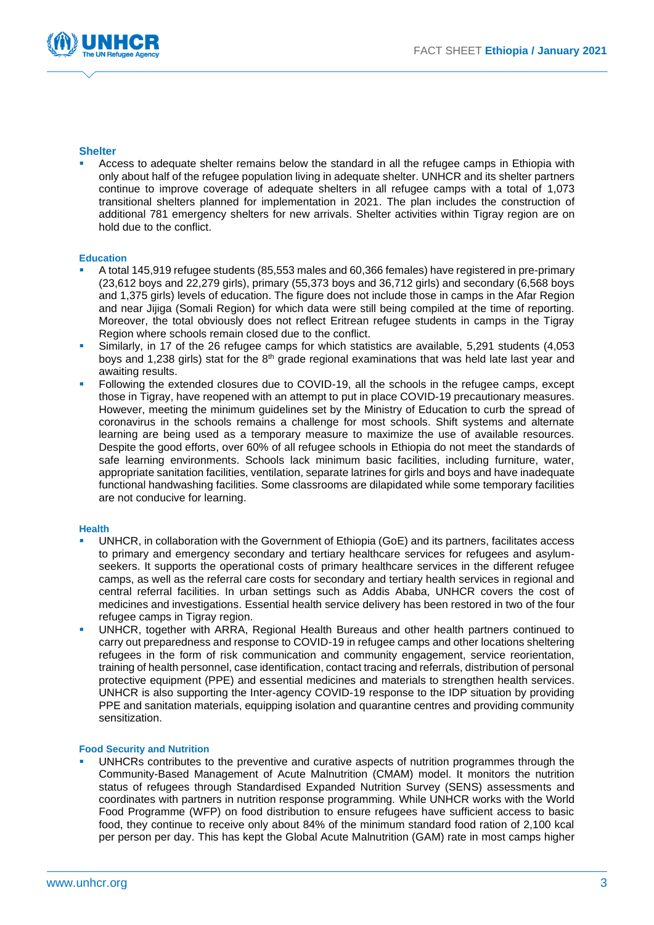

#### **Shelter**

Access to adequate shelter remains below the standard in all the refugee camps in Ethiopia with only about half of the refugee population living in adequate shelter. UNHCR and its shelter partners continue to improve coverage of adequate shelters in all refugee camps with a total of 1,073 transitional shelters planned for implementation in 2021. The plan includes the construction of additional 781 emergency shelters for new arrivals. Shelter activities within Tigray region are on hold due to the conflict.

#### **Education**

- A total 145,919 refugee students (85,553 males and 60,366 females) have registered in pre-primary (23,612 boys and 22,279 girls), primary (55,373 boys and 36,712 girls) and secondary (6,568 boys and 1,375 girls) levels of education. The figure does not include those in camps in the Afar Region and near Jijiga (Somali Region) for which data were still being compiled at the time of reporting. Moreover, the total obviously does not reflect Eritrean refugee students in camps in the Tigray Region where schools remain closed due to the conflict.
- Similarly, in 17 of the 26 refugee camps for which statistics are available, 5,291 students (4,053 boys and 1,238 girls) stat for the 8<sup>th</sup> grade regional examinations that was held late last year and awaiting results.
- Following the extended closures due to COVID-19, all the schools in the refugee camps, except those in Tigray, have reopened with an attempt to put in place COVID-19 precautionary measures. However, meeting the minimum guidelines set by the Ministry of Education to curb the spread of coronavirus in the schools remains a challenge for most schools. Shift systems and alternate learning are being used as a temporary measure to maximize the use of available resources. Despite the good efforts, over 60% of all refugee schools in Ethiopia do not meet the standards of safe learning environments. Schools lack minimum basic facilities, including furniture, water, appropriate sanitation facilities, ventilation, separate latrines for girls and boys and have inadequate functional handwashing facilities. Some classrooms are dilapidated while some temporary facilities are not conducive for learning.

#### **Health**

- UNHCR, in collaboration with the Government of Ethiopia (GoE) and its partners, facilitates access to primary and emergency secondary and tertiary healthcare services for refugees and asylumseekers. It supports the operational costs of primary healthcare services in the different refugee camps, as well as the referral care costs for secondary and tertiary health services in regional and central referral facilities. In urban settings such as Addis Ababa, UNHCR covers the cost of medicines and investigations. Essential health service delivery has been restored in two of the four refugee camps in Tigray region.
- UNHCR, together with ARRA, Regional Health Bureaus and other health partners continued to carry out preparedness and response to COVID-19 in refugee camps and other locations sheltering refugees in the form of risk communication and community engagement, service reorientation, training of health personnel, case identification, contact tracing and referrals, distribution of personal protective equipment (PPE) and essential medicines and materials to strengthen health services. UNHCR is also supporting the Inter-agency COVID-19 response to the IDP situation by providing PPE and sanitation materials, equipping isolation and quarantine centres and providing community sensitization.

#### **Food Security and Nutrition**

UNHCRs contributes to the preventive and curative aspects of nutrition programmes through the Community-Based Management of Acute Malnutrition (CMAM) model. It monitors the nutrition status of refugees through Standardised Expanded Nutrition Survey (SENS) assessments and coordinates with partners in nutrition response programming. While UNHCR works with the World Food Programme (WFP) on food distribution to ensure refugees have sufficient access to basic food, they continue to receive only about 84% of the minimum standard food ration of 2,100 kcal per person per day. This has kept the Global Acute Malnutrition (GAM) rate in most camps higher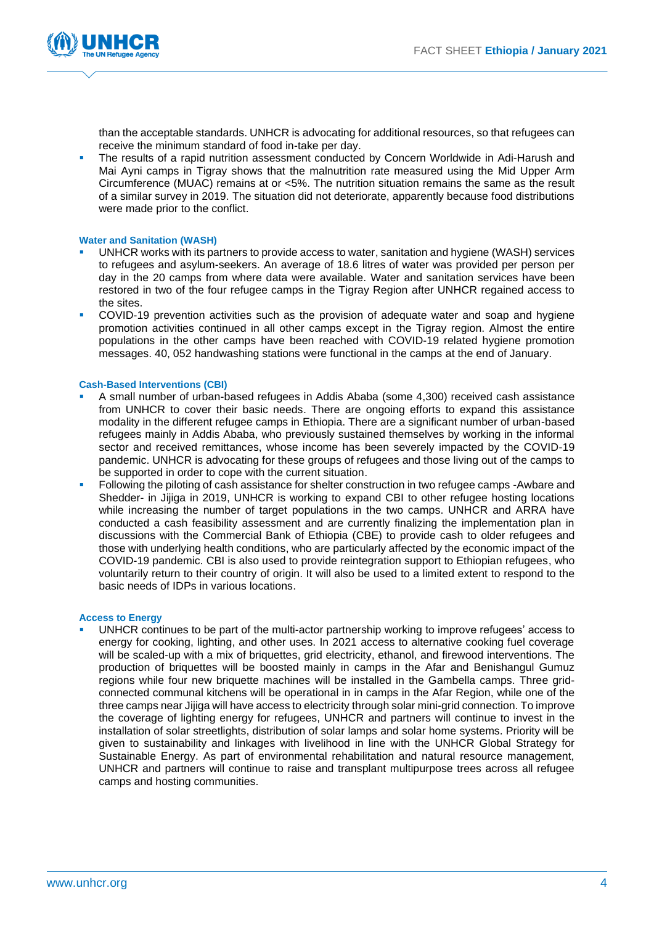

than the acceptable standards. UNHCR is advocating for additional resources, so that refugees can receive the minimum standard of food in-take per day.

The results of a rapid nutrition assessment conducted by Concern Worldwide in Adi-Harush and Mai Ayni camps in Tigray shows that the malnutrition rate measured using the Mid Upper Arm Circumference (MUAC) remains at or <5%. The nutrition situation remains the same as the result of a similar survey in 2019. The situation did not deteriorate, apparently because food distributions were made prior to the conflict.

#### **Water and Sanitation (WASH)**

- UNHCR works with its partners to provide access to water, sanitation and hygiene (WASH) services to refugees and asylum-seekers. An average of 18.6 litres of water was provided per person per day in the 20 camps from where data were available. Water and sanitation services have been restored in two of the four refugee camps in the Tigray Region after UNHCR regained access to the sites.
- COVID-19 prevention activities such as the provision of adequate water and soap and hygiene promotion activities continued in all other camps except in the Tigray region. Almost the entire populations in the other camps have been reached with COVID-19 related hygiene promotion messages. 40, 052 handwashing stations were functional in the camps at the end of January.

#### **Cash-Based Interventions (CBI)**

- A small number of urban-based refugees in Addis Ababa (some 4,300) received cash assistance from UNHCR to cover their basic needs. There are ongoing efforts to expand this assistance modality in the different refugee camps in Ethiopia. There are a significant number of urban-based refugees mainly in Addis Ababa, who previously sustained themselves by working in the informal sector and received remittances, whose income has been severely impacted by the COVID-19 pandemic. UNHCR is advocating for these groups of refugees and those living out of the camps to be supported in order to cope with the current situation.
- Following the piloting of cash assistance for shelter construction in two refugee camps -Awbare and Shedder- in Jijiga in 2019, UNHCR is working to expand CBI to other refugee hosting locations while increasing the number of target populations in the two camps. UNHCR and ARRA have conducted a cash feasibility assessment and are currently finalizing the implementation plan in discussions with the Commercial Bank of Ethiopia (CBE) to provide cash to older refugees and those with underlying health conditions, who are particularly affected by the economic impact of the COVID-19 pandemic. CBI is also used to provide reintegration support to Ethiopian refugees, who voluntarily return to their country of origin. It will also be used to a limited extent to respond to the basic needs of IDPs in various locations.

#### **Access to Energy**

UNHCR continues to be part of the multi-actor partnership working to improve refugees' access to energy for cooking, lighting, and other uses. In 2021 access to alternative cooking fuel coverage will be scaled-up with a mix of briquettes, grid electricity, ethanol, and firewood interventions. The production of briquettes will be boosted mainly in camps in the Afar and Benishangul Gumuz regions while four new briquette machines will be installed in the Gambella camps. Three gridconnected communal kitchens will be operational in in camps in the Afar Region, while one of the three camps near Jijiga will have access to electricity through solar mini-grid connection. To improve the coverage of lighting energy for refugees, UNHCR and partners will continue to invest in the installation of solar streetlights, distribution of solar lamps and solar home systems. Priority will be given to sustainability and linkages with livelihood in line with the UNHCR Global Strategy for Sustainable Energy. As part of environmental rehabilitation and natural resource management, UNHCR and partners will continue to raise and transplant multipurpose trees across all refugee camps and hosting communities.